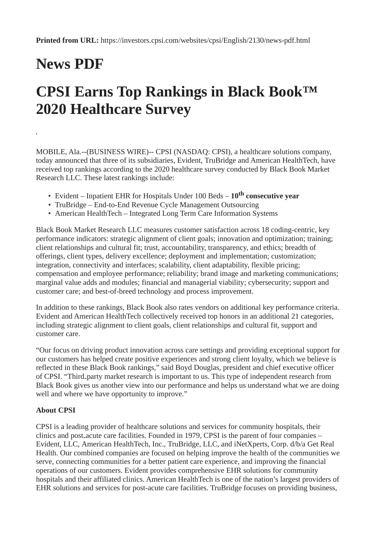## **News PDF**

**,**

## **CPSI Earns Top Rankings in Black Book™ 2020 Healthcare Survey**

MOBILE, Ala.--(BUSINESS WIRE)-- CPSI (NASDAQ: CPSI), a healthcare solutions company, today announced that three of its subsidiaries, Evident, TruBridge and American HealthTech, have received top rankings according to the 2020 healthcare survey conducted by Black Book Market Research LLC. These latest rankings include:

- Evident Inpatient EHR for Hospitals Under 100 Beds **10th consecutive year**
- TruBridge End-to-End Revenue Cycle Management Outsourcing
- American HealthTech Integrated Long Term Care Information Systems

Black Book Market Research LLC measures customer satisfaction across 18 coding-centric, key performance indicators: strategic alignment of client goals; innovation and optimization; training; client relationships and cultural fit; trust, accountability, transparency, and ethics; breadth of offerings, client types, delivery excellence; deployment and implementation; customization; integration, connectivity and interfaces; scalability, client adaptability, flexible pricing; compensation and employee performance; reliability; brand image and marketing communications; marginal value adds and modules; financial and managerial viability; cybersecurity; support and customer care; and best-of-breed technology and process improvement.

In addition to these rankings, Black Book also rates vendors on additional key performance criteria. Evident and American HealthTech collectively received top honors in an additional 21 categories, including strategic alignment to client goals, client relationships and cultural fit, support and customer care.

"Our focus on driving product innovation across care settings and providing exceptional support for our customers has helped create positive experiences and strong client loyalty, which we believe is reflected in these Black Book rankings," said Boyd Douglas, president and chief executive officer of CPSI. "Third‑party market research is important to us. This type of independent research from Black Book gives us another view into our performance and helps us understand what we are doing well and where we have opportunity to improve."

## **About CPSI**

CPSI is a leading provider of healthcare solutions and services for community hospitals, their clinics and post<sub>-</sub>acute care facilities. Founded in 1979, CPSI is the parent of four companies – Evident, LLC, American HealthTech, Inc., TruBridge, LLC, and iNetXperts, Corp. d/b/a Get Real Health. Our combined companies are focused on helping improve the health of the communities we serve, connecting communities for a better patient care experience, and improving the financial operations of our customers. Evident provides comprehensive EHR solutions for community hospitals and their affiliated clinics. American HealthTech is one of the nation's largest providers of EHR solutions and services for post-acute care facilities. TruBridge focuses on providing business,